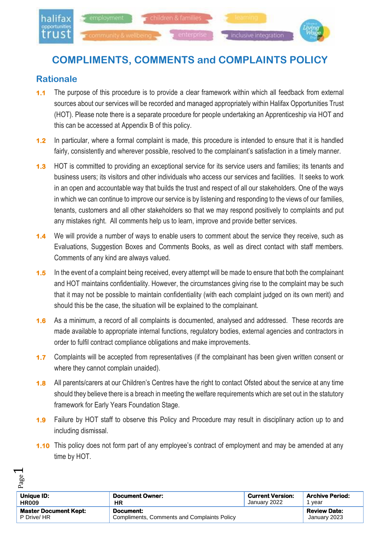

# **COMPLIMENTS, COMMENTS and COMPLAINTS POLICY**

## **Rationale**

 $\overline{\phantom{0}}$ 

- **1.1** The purpose of this procedure is to provide a clear framework within which all feedback from external sources about our services will be recorded and managed appropriately within Halifax Opportunities Trust (HOT). Please note there is a separate procedure for people undertaking an Apprenticeship via HOT and this can be accessed at Appendix B of this policy.
- **1.2** In particular, where a formal complaint is made, this procedure is intended to ensure that it is handled fairly, consistently and wherever possible, resolved to the complainant's satisfaction in a timely manner.
- **1.3** HOT is committed to providing an exceptional service for its service users and families; its tenants and business users; its visitors and other individuals who access our services and facilities. It seeks to work in an open and accountable way that builds the trust and respect of all our stakeholders. One of the ways in which we can continue to improve our service is by listening and responding to the views of our families, tenants, customers and all other stakeholders so that we may respond positively to complaints and put any mistakes right. All comments help us to learn, improve and provide better services.
- **1.4** We will provide a number of ways to enable users to comment about the service they receive, such as Evaluations, Suggestion Boxes and Comments Books, as well as direct contact with staff members. Comments of any kind are always valued.
- **1.5** In the event of a complaint being received, every attempt will be made to ensure that both the complainant and HOT maintains confidentiality. However, the circumstances giving rise to the complaint may be such that it may not be possible to maintain confidentiality (with each complaint judged on its own merit) and should this be the case, the situation will be explained to the complainant.
- **1.6** As a minimum, a record of all complaints is documented, analysed and addressed. These records are made available to appropriate internal functions, regulatory bodies, external agencies and contractors in order to fulfil contract compliance obligations and make improvements.
- **1.7** Complaints will be accepted from representatives (if the complainant has been given written consent or where they cannot complain unaided).
- **1.8** All parents/carers at our Children's Centres have the right to contact Ofsted about the service at any time should they believe there is a breach in meeting the welfare requirements which are set out in the statutory framework for Early Years Foundation Stage.
- **1.9** Failure by HOT staff to observe this Policy and Procedure may result in disciplinary action up to and including dismissal.
- **1.10** This policy does not form part of any employee's contract of employment and may be amended at any time by HOT.

| go                           |                                             |                         |                        |
|------------------------------|---------------------------------------------|-------------------------|------------------------|
| Unique ID:                   | <b>Document Owner:</b>                      | <b>Current Version:</b> | <b>Archive Period:</b> |
| <b>HR009</b>                 | ΗR                                          | January 2022            | vear                   |
| <b>Master Document Kept:</b> | Document:                                   |                         | <b>Review Date:</b>    |
| P Drive/ HR                  | Compliments, Comments and Complaints Policy |                         | January 2023           |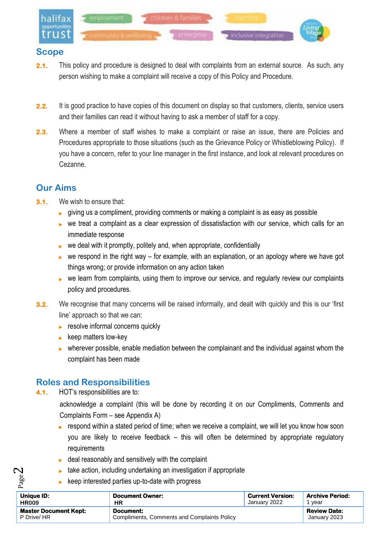

### **Scope**

- **2.1.** This policy and procedure is designed to deal with complaints from an external source. As such, any person wishing to make a complaint will receive a copy of this Policy and Procedure.
- **2.2.** It is good practice to have copies of this document on display so that customers, clients, service users and their families can read it without having to ask a member of staff for a copy.
- **2.3.** Where a member of staff wishes to make a complaint or raise an issue, there are Policies and Procedures appropriate to those situations (such as the Grievance Policy or Whistleblowing Policy). If you have a concern, refer to your line manager in the first instance, and look at relevant procedures on Cezanne.

# **Our Aims**

- **3.1.** We wish to ensure that:
	- $\rightarrow$  giving us a compliment, providing comments or making a complaint is as easy as possible
	- $\triangleright$  we treat a complaint as a clear expression of dissatisfaction with our service, which calls for an immediate response
	- $\triangleright$  we deal with it promptly, politely and, when appropriate, confidentially
	- $\triangleright$  we respond in the right way for example, with an explanation, or an apology where we have got things wrong; or provide information on any action taken
	- $\triangleright$  we learn from complaints, using them to improve our service, and regularly review our complaints policy and procedures.
- **3.2.** We recognise that many concerns will be raised informally, and dealt with quickly and this is our 'first line' approach so that we can:
	- **F** resolve informal concerns quickly
	- $\blacktriangleright$  keep matters low-key
	- $\triangleright$  wherever possible, enable mediation between the complainant and the individual against whom the complaint has been made

## **Roles and Responsibilities**

**4.1.** HOT's responsibilities are to:

Page  $\boldsymbol{\sim}$ 

acknowledge a complaint (this will be done by recording it on our Compliments, Comments and Complaints Form – see Appendix A)

- $\triangleright$  respond within a stated period of time; when we receive a complaint, we will let you know how soon you are likely to receive feedback – this will often be determined by appropriate regulatory requirements
- $\blacktriangleright$  deal reasonably and sensitively with the complaint
- $\blacktriangleright$  take action, including undertaking an investigation if appropriate
- keep interested parties up-to-date with progress

| <b>Unique ID:</b>            | <b>Document Owner:</b>                      | <b>Current Version:</b> | <b>Archive Period:</b> |
|------------------------------|---------------------------------------------|-------------------------|------------------------|
| <b>HR009</b>                 | ΗR                                          | January 2022            | vear                   |
| <b>Master Document Kept:</b> | Document:                                   |                         | <b>Review Date:</b>    |
| P Drive/ HR                  | Compliments, Comments and Complaints Policy |                         | January 2023           |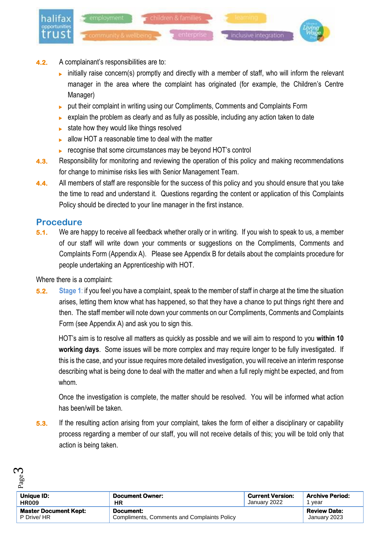

- **4.2.** A complainant's responsibilities are to:
	- initially raise concern(s) promptly and directly with a member of staff, who will inform the relevant manager in the area where the complaint has originated (for example, the Children's Centre Manager)
	- put their complaint in writing using our Compliments, Comments and Complaints Form
	- $\triangleright$  explain the problem as clearly and as fully as possible, including any action taken to date
	- $\triangleright$  state how they would like things resolved
	- ▶ allow HOT a reasonable time to deal with the matter
	- **EXECOGNISE CONSIST** recognise that some circumstances may be beyond HOT's control
- **4.3.** Responsibility for monitoring and reviewing the operation of this policy and making recommendations for change to minimise risks lies with Senior Management Team.
- **4.4.** All members of staff are responsible for the success of this policy and you should ensure that you take the time to read and understand it. Questions regarding the content or application of this Complaints Policy should be directed to your line manager in the first instance.

### **Procedure**

ო

**5.1.** We are happy to receive all feedback whether orally or in writing. If you wish to speak to us, a member of our staff will write down your comments or suggestions on the Compliments, Comments and Complaints Form (Appendix A). Please see Appendix B for details about the complaints procedure for people undertaking an Apprenticeship with HOT.

Where there is a complaint:

**5.2. Stage 1**: if you feel you have a complaint, speak to the member of staff in charge at the time the situation arises, letting them know what has happened, so that they have a chance to put things right there and then. The staff member will note down your comments on our Compliments, Comments and Complaints Form (see Appendix A) and ask you to sign this.

HOT's aim is to resolve all matters as quickly as possible and we will aim to respond to you **within 10 working days**. Some issues will be more complex and may require longer to be fully investigated. If this is the case, and your issue requires more detailed investigation, you will receive an interim response describing what is being done to deal with the matter and when a full reply might be expected, and from whom.

Once the investigation is complete, the matter should be resolved. You will be informed what action has been/will be taken.

**5.3.** If the resulting action arising from your complaint, takes the form of either a disciplinary or capability process regarding a member of our staff, you will not receive details of this; you will be told only that action is being taken.

| ee                           |                                                    |                         |                        |
|------------------------------|----------------------------------------------------|-------------------------|------------------------|
| Unique ID:                   | <b>Document Owner:</b>                             | <b>Current Version:</b> | <b>Archive Period:</b> |
| <b>HR009</b>                 | ΗR                                                 | January 2022            | vear                   |
| <b>Master Document Kept:</b> | Document:                                          |                         | <b>Review Date:</b>    |
| P Drive/ HR                  | <b>Compliments, Comments and Complaints Policy</b> |                         | January 2023           |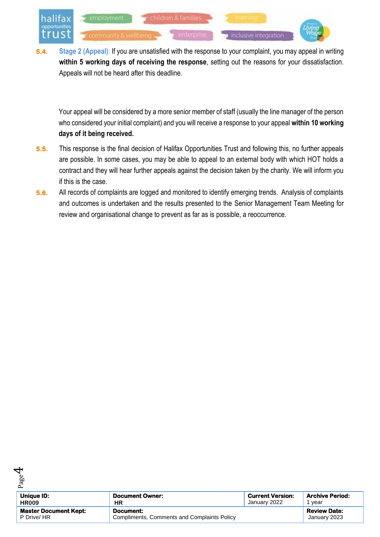

**5.4. Stage 2 (Appeal)**: If you are unsatisfied with the response to your complaint, you may appeal in writing **within 5 working days of receiving the response**, setting out the reasons for your dissatisfaction. Appeals will not be heard after this deadline.

Your appeal will be considered by a more senior member of staff (usually the line manager of the person who considered your initial complaint) and you will receive a response to your appeal **within 10 working days of it being received.**

- **5.5.** This response is the final decision of Halifax Opportunities Trust and following this, no further appeals are possible. In some cases, you may be able to appeal to an external body with which HOT holds a contract and they will hear further appeals against the decision taken by the charity. We will inform you if this is the case.
- **5.6.** All records of complaints are logged and monitored to identify emerging trends. Analysis of complaints and outcomes is undertaken and the results presented to the Senior Management Team Meeting for review and organisational change to prevent as far as is possible, a reoccurrence.



 $\overline{\mathcal{A}}$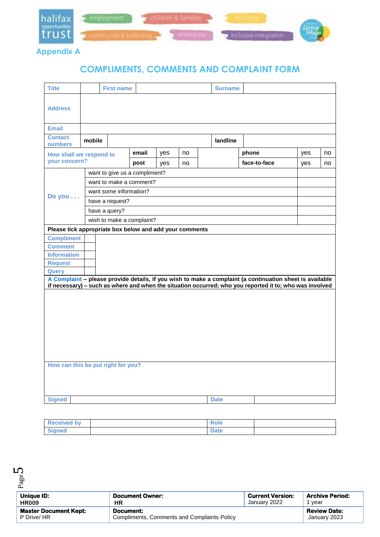

**Appendix A**

# **COMPLIMENTS, COMMENTS AND COMPLAINT FORM**

| <b>Title</b>                                            |                                                                                                          | <b>First name</b>      |                               |     |    |  | <b>Surname</b> |                                                                                                         |     |    |
|---------------------------------------------------------|----------------------------------------------------------------------------------------------------------|------------------------|-------------------------------|-----|----|--|----------------|---------------------------------------------------------------------------------------------------------|-----|----|
| <b>Address</b>                                          |                                                                                                          |                        |                               |     |    |  |                |                                                                                                         |     |    |
| <b>Email</b>                                            |                                                                                                          |                        |                               |     |    |  |                |                                                                                                         |     |    |
| <b>Contact</b><br><b>numbers</b>                        | mobile                                                                                                   |                        |                               |     |    |  | landline       |                                                                                                         |     |    |
| How shall we respond to                                 |                                                                                                          |                        | email                         | yes | no |  |                | phone                                                                                                   | yes | no |
| your concern?                                           |                                                                                                          |                        | post                          | yes | no |  |                | face-to-face                                                                                            | yes | no |
|                                                         |                                                                                                          |                        | want to give us a compliment? |     |    |  |                |                                                                                                         |     |    |
|                                                         |                                                                                                          |                        | want to make a comment?       |     |    |  |                |                                                                                                         |     |    |
|                                                         |                                                                                                          | want some information? |                               |     |    |  |                |                                                                                                         |     |    |
| Do you                                                  |                                                                                                          | have a request?        |                               |     |    |  |                |                                                                                                         |     |    |
|                                                         | have a query?                                                                                            |                        |                               |     |    |  |                |                                                                                                         |     |    |
|                                                         |                                                                                                          |                        | wish to make a complaint?     |     |    |  |                |                                                                                                         |     |    |
| Please tick appropriate box below and add your comments |                                                                                                          |                        |                               |     |    |  |                |                                                                                                         |     |    |
| <b>Compliment</b>                                       |                                                                                                          |                        |                               |     |    |  |                |                                                                                                         |     |    |
| <b>Comment</b>                                          |                                                                                                          |                        |                               |     |    |  |                |                                                                                                         |     |    |
| <b>Information</b>                                      |                                                                                                          |                        |                               |     |    |  |                |                                                                                                         |     |    |
| <b>Request</b>                                          |                                                                                                          |                        |                               |     |    |  |                |                                                                                                         |     |    |
| <b>Query</b>                                            | A Complaint - please provide details, if you wish to make a complaint (a continuation sheet is available |                        |                               |     |    |  |                |                                                                                                         |     |    |
|                                                         |                                                                                                          |                        |                               |     |    |  |                | if necessary) - such as where and when the situation occurred; who you reported it to; who was involved |     |    |
|                                                         |                                                                                                          |                        |                               |     |    |  |                |                                                                                                         |     |    |
|                                                         |                                                                                                          |                        |                               |     |    |  |                |                                                                                                         |     |    |
|                                                         |                                                                                                          |                        |                               |     |    |  |                |                                                                                                         |     |    |
|                                                         |                                                                                                          |                        |                               |     |    |  |                |                                                                                                         |     |    |
|                                                         |                                                                                                          |                        |                               |     |    |  |                |                                                                                                         |     |    |
|                                                         |                                                                                                          |                        |                               |     |    |  |                |                                                                                                         |     |    |
|                                                         |                                                                                                          |                        |                               |     |    |  |                |                                                                                                         |     |    |
|                                                         |                                                                                                          |                        |                               |     |    |  |                |                                                                                                         |     |    |
| How can this be put right for you?                      |                                                                                                          |                        |                               |     |    |  |                |                                                                                                         |     |    |
|                                                         |                                                                                                          |                        |                               |     |    |  |                |                                                                                                         |     |    |
|                                                         |                                                                                                          |                        |                               |     |    |  |                |                                                                                                         |     |    |
|                                                         |                                                                                                          |                        |                               |     |    |  |                |                                                                                                         |     |    |
| <b>Signed</b>                                           |                                                                                                          |                        |                               |     |    |  | <b>Date</b>    |                                                                                                         |     |    |

| <b>Received by</b> | ₹ole |  |
|--------------------|------|--|
| <b>Signed</b>      | Date |  |

Page ഥ

| Unique ID:                   | <b>Document Owner:</b>                      | <b>Current Version:</b> | <b>Archive Period:</b> |
|------------------------------|---------------------------------------------|-------------------------|------------------------|
| <b>HR009</b>                 | <b>HR</b>                                   | January 2022            | vear                   |
| <b>Master Document Kept:</b> | Document:                                   |                         | <b>Review Date:</b>    |
| P Drive/ HR                  | Compliments, Comments and Complaints Policy |                         | January 2023           |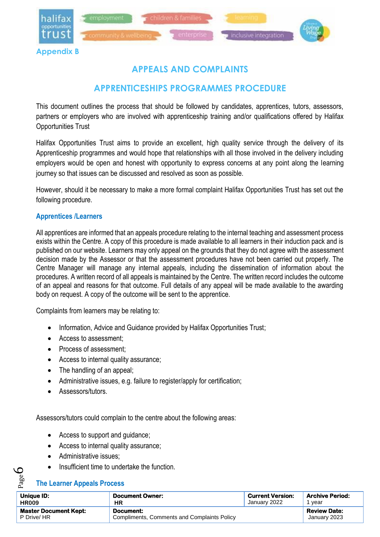

# **APPEALS AND COMPLAINTS**

# **APPRENTICESHIPS PROGRAMMES PROCEDURE**

This document outlines the process that should be followed by candidates, apprentices, tutors, assessors, partners or employers who are involved with apprenticeship training and/or qualifications offered by Halifax Opportunities Trust

Halifax Opportunities Trust aims to provide an excellent, high quality service through the delivery of its Apprenticeship programmes and would hope that relationships with all those involved in the delivery including employers would be open and honest with opportunity to express concerns at any point along the learning journey so that issues can be discussed and resolved as soon as possible.

However, should it be necessary to make a more formal complaint Halifax Opportunities Trust has set out the following procedure.

#### **Apprentices /Learners**

All apprentices are informed that an appeals procedure relating to the internal teaching and assessment process exists within the Centre. A copy of this procedure is made available to all learners in their induction pack and is published on our website. Learners may only appeal on the grounds that they do not agree with the assessment decision made by the Assessor or that the assessment procedures have not been carried out properly. The Centre Manager will manage any internal appeals, including the dissemination of information about the procedures. A written record of all appeals is maintained by the Centre. The written record includes the outcome of an appeal and reasons for that outcome. Full details of any appeal will be made available to the awarding body on request. A copy of the outcome will be sent to the apprentice.

Complaints from learners may be relating to:

- Information, Advice and Guidance provided by Halifax Opportunities Trust;
- Access to assessment;
- Process of assessment:
- Access to internal quality assurance;
- The handling of an appeal;
- Administrative issues, e.g. failure to register/apply for certification;
- Assessors/tutors.

Assessors/tutors could complain to the centre about the following areas:

- Access to support and guidance;
- Access to internal quality assurance:
- Administrative issues:
- Insufficient time to undertake the function.

#### **The Learner Appeals Process**

Page 6

| Unique ID:                   | <b>Document Owner:</b>                      | <b>Current Version:</b> | <b>Archive Period:</b> |
|------------------------------|---------------------------------------------|-------------------------|------------------------|
| <b>HR009</b>                 | HR                                          | January 2022            | vear                   |
| <b>Master Document Kept:</b> | Document:                                   |                         | <b>Review Date:</b>    |
| P Drive/ HR                  | Compliments, Comments and Complaints Policy |                         | January 2023           |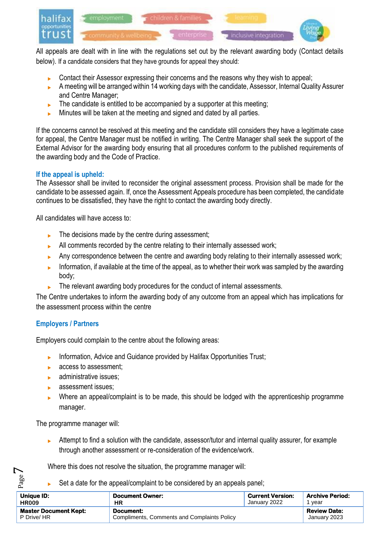

All appeals are dealt with in line with the regulations set out by the relevant awarding body (Contact details below). If a candidate considers that they have grounds for appeal they should:

- Contact their Assessor expressing their concerns and the reasons why they wish to appeal;
- A meeting will be arranged within 14 working days with the candidate, Assessor, Internal Quality Assurer and Centre Manager;
- $\blacktriangleright$  The candidate is entitled to be accompanied by a supporter at this meeting;
- Minutes will be taken at the meeting and signed and dated by all parties.

If the concerns cannot be resolved at this meeting and the candidate still considers they have a legitimate case for appeal, the Centre Manager must be notified in writing. The Centre Manager shall seek the support of the External Advisor for the awarding body ensuring that all procedures conform to the published requirements of the awarding body and the Code of Practice.

#### **If the appeal is upheld:**

The Assessor shall be invited to reconsider the original assessment process. Provision shall be made for the candidate to be assessed again. If, once the Assessment Appeals procedure has been completed, the candidate continues to be dissatisfied, they have the right to contact the awarding body directly.

All candidates will have access to:

- $\blacktriangleright$  The decisions made by the centre during assessment:
- All comments recorded by the centre relating to their internally assessed work;
- Any correspondence between the centre and awarding body relating to their internally assessed work;
- Information, if available at the time of the appeal, as to whether their work was sampled by the awarding body;
- The relevant awarding body procedures for the conduct of internal assessments.

The Centre undertakes to inform the awarding body of any outcome from an appeal which has implications for the assessment process within the centre

#### **Employers / Partners**

Employers could complain to the centre about the following areas:

- Information, Advice and Guidance provided by Halifax Opportunities Trust;
- **access to assessment:**
- $\blacktriangleright$  administrative issues;
- **assessment issues:**
- Where an appeal/complaint is to be made, this should be lodged with the apprenticeship programme manager.

The programme manager will:

Page  $\overline{\phantom{0}}$ 

 Attempt to find a solution with the candidate, assessor/tutor and internal quality assurer, for example through another assessment or re-consideration of the evidence/work.

Where this does not resolve the situation, the programme manager will:

Set a date for the appeal/complaint to be considered by an appeals panel;

| Unique ID:                                  | Document Owner:                                                 | <b>Current Version:</b> | <b>Archive Period:</b>              |
|---------------------------------------------|-----------------------------------------------------------------|-------------------------|-------------------------------------|
| <b>HR009</b>                                | ΗR                                                              | January 2022            | vear                                |
| <b>Master Document Kept:</b><br>P Drive/ HR | Document:<br><b>Compliments, Comments and Complaints Policy</b> |                         | <b>Review Date:</b><br>January 2023 |